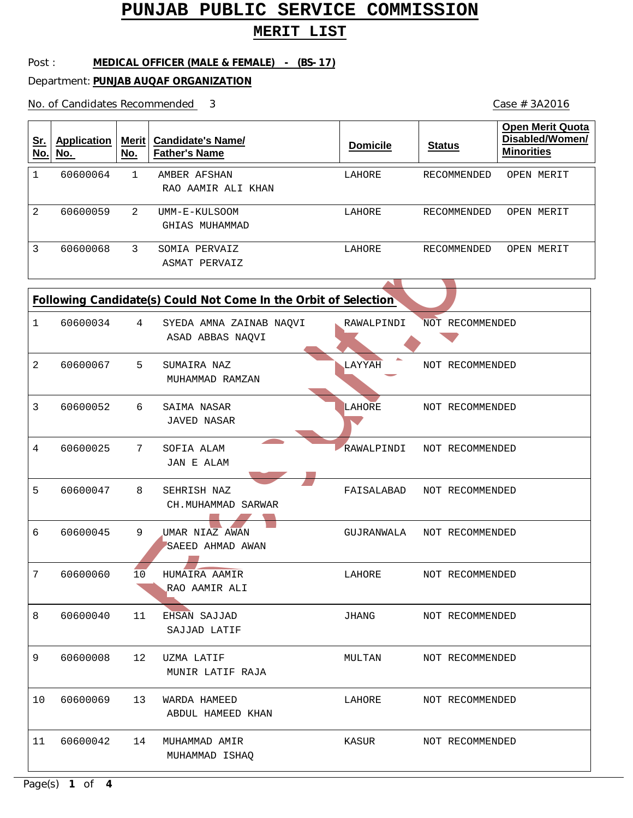## **MERIT LIST**

#### Post : **MEDICAL OFFICER (MALE & FEMALE) - (BS-17)**

Department: **PUNJAB AUQAF ORGANIZATION**

No. of Candidates Recommended

| <u>Sr.</u><br>No.                                               | <b>Application</b><br>No. | Merit $ $<br>No. | <b>Candidate's Name/</b><br><b>Father's Name</b> | <b>Domicile</b> | <b>Status</b>   | <b>Open Merit Quota</b><br>Disabled/Women/<br><b>Minorities</b> |  |
|-----------------------------------------------------------------|---------------------------|------------------|--------------------------------------------------|-----------------|-----------------|-----------------------------------------------------------------|--|
| $\mathbf{1}$                                                    | 60600064                  | $\mathbf{1}$     | AMBER AFSHAN<br>RAO AAMIR ALI KHAN               | LAHORE          | RECOMMENDED     | OPEN MERIT                                                      |  |
| 2                                                               | 60600059                  | 2                | UMM-E-KULSOOM<br>GHIAS MUHAMMAD                  | LAHORE          | RECOMMENDED     | OPEN MERIT                                                      |  |
| 3                                                               | 60600068                  | 3                | SOMIA PERVAIZ<br><b>ASMAT PERVAIZ</b>            | LAHORE          | RECOMMENDED     | OPEN MERIT                                                      |  |
| Following Candidate(s) Could Not Come In the Orbit of Selection |                           |                  |                                                  |                 |                 |                                                                 |  |
| $\mathbf 1$                                                     | 60600034                  | 4                | SYEDA AMNA ZAINAB NAQVI<br>ASAD ABBAS NAQVI      | RAWALPINDI      | NOT RECOMMENDED |                                                                 |  |
| 2                                                               | 60600067                  | 5                | SUMAIRA NAZ<br>MUHAMMAD RAMZAN                   | LAYYAH          | NOT RECOMMENDED |                                                                 |  |
| 3                                                               | 60600052                  | 6                | SAIMA NASAR<br><b>JAVED NASAR</b>                | LAHORE          | NOT RECOMMENDED |                                                                 |  |
| 4                                                               | 60600025                  | 7                | SOFIA ALAM<br><b>JAN E ALAM</b>                  | RAWALPINDI      | NOT RECOMMENDED |                                                                 |  |
| 5                                                               | 60600047                  | 8                | SEHRISH NAZ<br>CH.MUHAMMAD SARWAR                | FAISALABAD      | NOT RECOMMENDED |                                                                 |  |
| 6                                                               | 60600045                  | 9                | UMAR NIAZ AWAN<br>SAEED AHMAD AWAN               | GUJRANWALA      | NOT RECOMMENDED |                                                                 |  |
| 7                                                               | 60600060                  | 10               | HUMAIRA AAMIR<br>RAO AAMIR ALI                   | LAHORE          | NOT RECOMMENDED |                                                                 |  |
| 8                                                               | 60600040                  | 11               | EHSAN SAJJAD<br>SAJJAD LATIF                     | JHANG           | NOT RECOMMENDED |                                                                 |  |
| 9                                                               | 60600008                  | 12               | UZMA LATIF<br>MUNIR LATIF RAJA                   | MULTAN          | NOT RECOMMENDED |                                                                 |  |
| 10                                                              | 60600069                  | 13               | WARDA HAMEED<br>ABDUL HAMEED KHAN                | LAHORE          | NOT RECOMMENDED |                                                                 |  |
| 11                                                              | 60600042                  | 14               | MUHAMMAD AMIR<br>MUHAMMAD ISHAQ                  | KASUR           | NOT RECOMMENDED |                                                                 |  |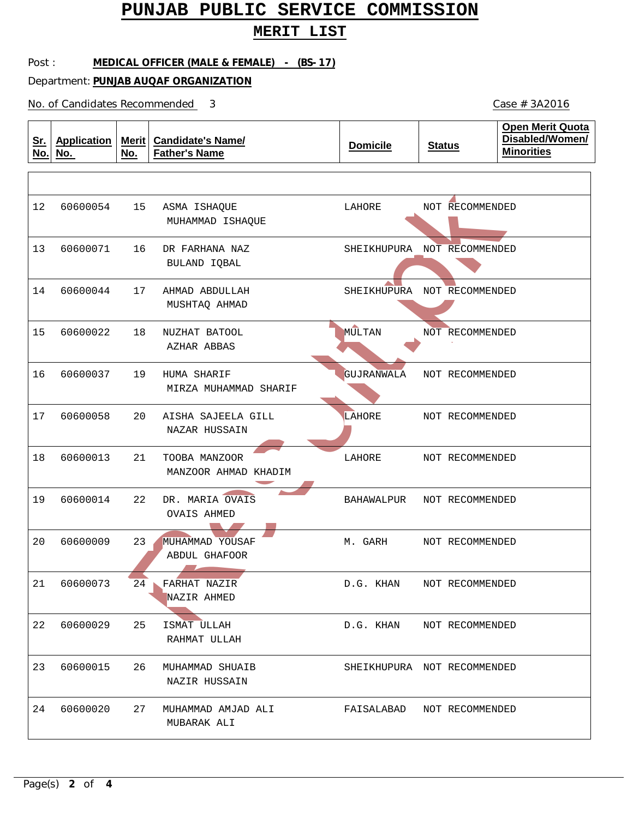### **MERIT LIST**

#### Post : **MEDICAL OFFICER (MALE & FEMALE) - (BS-17)**

Department: **PUNJAB AUQAF ORGANIZATION**

No. of Candidates Recommended

| <u>Sr.</u><br>No. | <b>Application</b><br>No. | Merit<br>No. | <b>Candidate's Name/</b><br><b>Father's Name</b> | <b>Domicile</b>   | <b>Status</b>               | <b>Open Merit Quota</b><br>Disabled/Women/<br><b>Minorities</b> |
|-------------------|---------------------------|--------------|--------------------------------------------------|-------------------|-----------------------------|-----------------------------------------------------------------|
|                   |                           |              |                                                  |                   |                             |                                                                 |
| 12                | 60600054                  | 15           | ASMA ISHAQUE<br>MUHAMMAD ISHAQUE                 | LAHORE            | NOT RECOMMENDED             |                                                                 |
| 13                | 60600071                  | 16           | DR FARHANA NAZ<br>BULAND IQBAL                   |                   | SHEIKHUPURA NOT RECOMMENDED |                                                                 |
| 14                | 60600044                  | 17           | AHMAD ABDULLAH<br>MUSHTAQ AHMAD                  |                   | SHEIKHUPURA NOT RECOMMENDED |                                                                 |
| 15                | 60600022                  | 18           | NUZHAT BATOOL<br>AZHAR ABBAS                     | <b>MULTAN</b>     | NOT RECOMMENDED             |                                                                 |
| 16                | 60600037                  | 19           | HUMA SHARIF<br>MIRZA MUHAMMAD SHARIF             | <b>GUJRANWALA</b> | NOT RECOMMENDED             |                                                                 |
| 17                | 60600058                  | 20           | AISHA SAJEELA GILL<br>NAZAR HUSSAIN              | LAHORE            | NOT RECOMMENDED             |                                                                 |
| 18                | 60600013                  | 21           | TOOBA MANZOOR<br>MANZOOR AHMAD KHADIM            | LAHORE            | NOT RECOMMENDED             |                                                                 |
| 19                | 60600014                  | 22           | DR. MARIA OVAIS<br><b>OVAIS AHMED</b>            | BAHAWALPUR        | NOT RECOMMENDED             |                                                                 |
| 20                | 60600009                  | 23           | MUHAMMAD YOUSAF<br>ABDUL GHAFOOR                 | M. GARH           | NOT RECOMMENDED             |                                                                 |
|                   | 21 60600073               | 24           | FARHAT NAZIR<br>NAZIR AHMED                      | D.G. KHAN         | NOT RECOMMENDED             |                                                                 |
| 22                | 60600029                  | 25           | ISMAT ULLAH<br>RAHMAT ULLAH                      |                   | D.G. KHAN NOT RECOMMENDED   |                                                                 |
| 23                | 60600015                  | 26           | MUHAMMAD SHUAIB<br>NAZIR HUSSAIN                 |                   | SHEIKHUPURA NOT RECOMMENDED |                                                                 |
| 24                | 60600020                  | 27           | MUHAMMAD AMJAD ALI<br>MUBARAK ALI                |                   | FAISALABAD NOT RECOMMENDED  |                                                                 |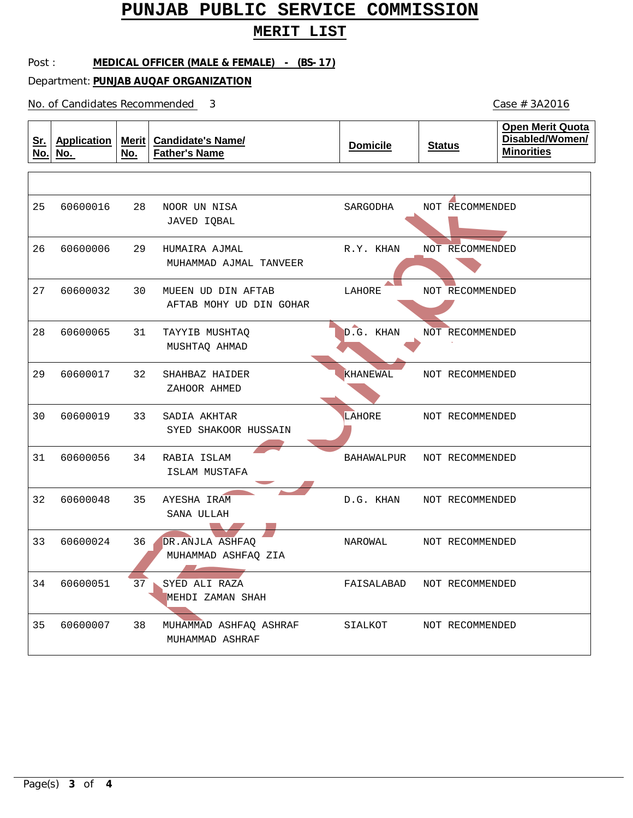### **MERIT LIST**

#### Post : **MEDICAL OFFICER (MALE & FEMALE) - (BS-17)**

Department: **PUNJAB AUQAF ORGANIZATION**

No. of Candidates Recommended

| <u>Sr.</u><br>No. | <b>Application</b><br>No. | Merit  <br>No. | <b>Candidate's Name/</b><br><b>Father's Name</b> | <b>Domicile</b>   | <b>Status</b>   | <b>Open Merit Quota</b><br>Disabled/Women/<br><b>Minorities</b> |
|-------------------|---------------------------|----------------|--------------------------------------------------|-------------------|-----------------|-----------------------------------------------------------------|
|                   |                           |                |                                                  |                   |                 |                                                                 |
| 25                | 60600016                  | 28             | NOOR UN NISA<br>JAVED IOBAL                      | SARGODHA          | NOT RECOMMENDED |                                                                 |
| 26                | 60600006                  | 29             | HUMAIRA AJMAL<br>MUHAMMAD AJMAL TANVEER          | R.Y. KHAN         | NOT RECOMMENDED |                                                                 |
| 27                | 60600032                  | 30             | MUEEN UD DIN AFTAB<br>AFTAB MOHY UD DIN GOHAR    | LAHORE            | NOT RECOMMENDED |                                                                 |
| 28                | 60600065                  | 31             | TAYYIB MUSHTAQ<br>MUSHTAQ AHMAD                  | D.G. KHAN         | NOT RECOMMENDED |                                                                 |
| 29                | 60600017                  | 32             | SHAHBAZ HAIDER<br>ZAHOOR AHMED                   | KHANEWAL          | NOT RECOMMENDED |                                                                 |
| 30                | 60600019                  | 33             | SADIA AKHTAR<br>SYED SHAKOOR HUSSAIN             | LAHORE            | NOT RECOMMENDED |                                                                 |
| 31                | 60600056                  | 34             | RABIA ISLAM<br>ISLAM MUSTAFA                     | <b>BAHAWALPUR</b> | NOT RECOMMENDED |                                                                 |
| 32                | 60600048                  | 35             | AYESHA IRAM<br>SANA ULLAH                        | D.G. KHAN         | NOT RECOMMENDED |                                                                 |
| 33                | 60600024                  | 36             | DR.ANJLA ASHFAQ<br>MUHAMMAD ASHFAQ ZIA           | NAROWAL           | NOT RECOMMENDED |                                                                 |
| 34                | 60600051                  | 37             | SYED ALI RAZA<br>MEHDI ZAMAN SHAH                | FAISALABAD        | NOT RECOMMENDED |                                                                 |
| 35                | 60600007                  | 38             | MUHAMMAD ASHFAQ ASHRAF<br>MUHAMMAD ASHRAF        | SIALKOT           | NOT RECOMMENDED |                                                                 |